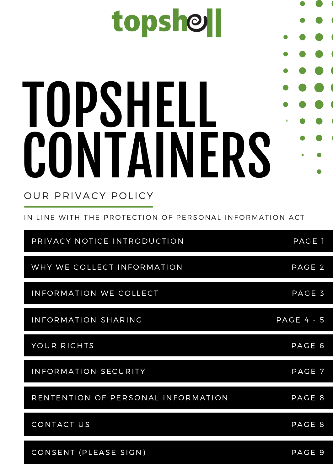# topshell TOPSHELL CONTAINERS OUR PRIVACY POLICY

IN LINE WITH THE PROTECTION OF PERSONAL INFORMATION ACT

| PRIVACY NOTICE INTRODUCTION        | PAGE 1       |
|------------------------------------|--------------|
| WHY WE COLLECT INFORMATION         | PAGE 2       |
| INFORMATION WE COLLECT             | PAGE 3       |
| INFORMATION SHARING                | $PAGE 4 - 5$ |
| YOUR RIGHTS                        | PAGE 6       |
| INFORMATION SECURITY               | PAGE 7       |
| RENTENTION OF PERSONAL INFORMATION | PAGE 8       |
| CONTACT US                         | PAGE 8       |
| CONSENT (PLEASE SIGN)              | PAGE 9       |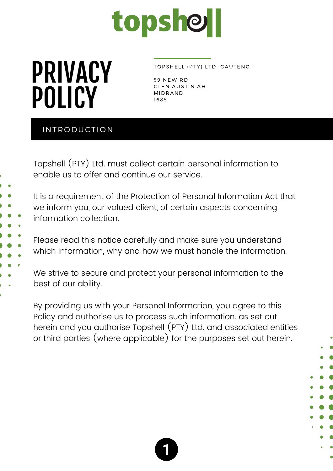## topshell

### PRIVACY POLICY

#### TOPSHELL (PTY) LTD. GAUTENG

59 NEW RD **GLEN AUSTIN AH** MIDR AND 1685

#### INTRODUCTION

Topshell (PTY) Ltd. must collect certain personal information to enable us to offer and continue our service.

It is a requirement of the Protection of Personal Information Act that we inform you, our valued client, of certain aspects concerning information collection.

Please read this notice carefully and make sure you understand which information, why and how we must handle the information.

We strive to secure and protect your personal information to the best of our ability.

By providing us with your Personal Information, you agree to this Policy and authorise us to process such information. as set out herein and you authorise Topshell (PTY) Ltd. and associated entities or third parties (where applicable) for the purposes set out herein.



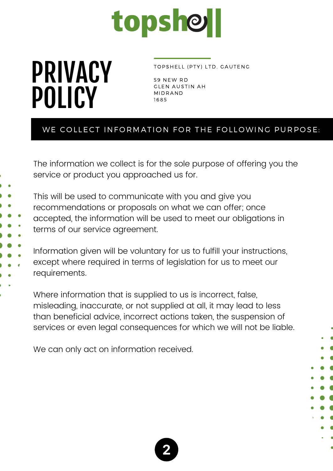

TOPSHELL (PTY) LTD. GAUTENG

59 NEW RD **GLEN AUSTIN AH** MIDR AND 1685

#### WE COLLECT INFORMATION FOR THE FOLLOWING PURPOSE:

The information we collect is for the sole purpose of offering you the service or product you approached us for.

This will be used to communicate with you and give you recommendations or proposals on what we can offer; once accepted, the information will be used to meet our obligations in terms of our service agreement.

Information given will be voluntary for us to fulfill your instructions, except where required in terms of legislation for us to meet our requirements.

Where information that is supplied to us is incorrect, false, misleading, inaccurate, or not supplied at all, it may lead to less than beneficial advice, incorrect actions taken, the suspension of services or even legal consequences for which we will not be liable.

We can only act on information received.

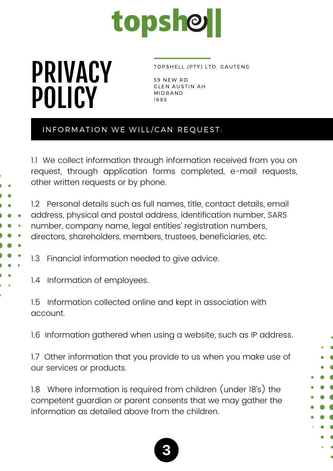

#### TOPSHELL (PTY) LTD. GAUTENG

59 NEW RD **GLEN AUSTIN AH** MIDR AND 1685

#### INFORMATION WE WILL/CAN REQUEST:

1.1 We collect information through information received from you on request, through application forms completed, e-mail requests, other written requests or by phone.

1.2 Personal details such as full names, title, contact details, email address, physical and postal address, identification number, SARS number, company name, legal entities' registration numbers, directors, shareholders, members, trustees, beneficiaries, etc.

1.3 Financial information needed to give advice.

1.4 Information of employees.

1.5 Information collected online and kept in association with account.

1.6 Information gathered when using a website, such as IP address.

1.7 Other information that you provide to us when you make use of our services or products.

1.8 Where information is required from children (under 18's) the competent guardian or parent consents that we may gather the information as detailed above from the children.

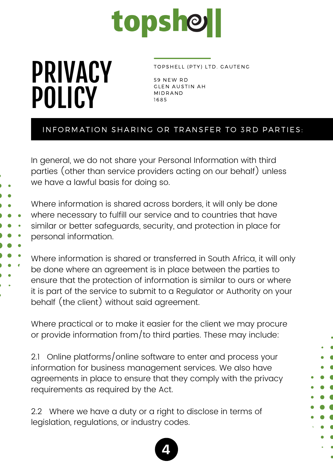

TOPSHELL (PTY) LTD. GAUTENG

59 NEW RD **GLEN AUSTIN AH** MIDR AND 1685

#### INFORMATION SHARING OR TRANSFER TO 3RD PARTIES:

In general, we do not share your Personal Information with third parties (other than service providers acting on our behalf) unless we have a lawful basis for doing so.

Where information is shared across borders, it will only be done where necessary to fulfill our service and to countries that have similar or better safeguards, security, and protection in place for personal information.

Where information is shared or transferred in South Africa, it will only be done where an agreement is in place between the parties to ensure that the protection of information is similar to ours or where it is part of the service to submit to a Regulator or Authority on your behalf (the client) without said agreement.

Where practical or to make it easier for the client we may procure or provide information from/to third parties. These may include:

2.1 Online platforms/online software to enter and process your information for business management services. We also have agreements in place to ensure that they comply with the privacy requirements as required by the Act.

2.2 Where we have a duty or a right to disclose in terms of legislation, regulations, or industry codes.

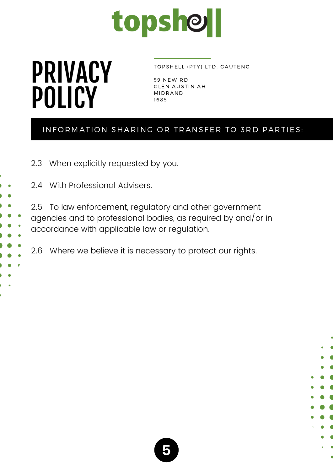

#### TOPSHELL (PTY) LTD. GAUTENG

59 NEW RD GLEN AUSTIN AH MIDR AND 1685

#### INFORMATION SHARING OR TRANSFER TO 3RD PARTIES:

2.3 When explicitly requested by you.

2.4 With Professional Advisers.

2.5 To law enforcement, regulatory and other government agencies and to professional bodies, as required by and/or in accordance with applicable law or regulation.

2.6 Where we believe it is necessary to protect our rights.

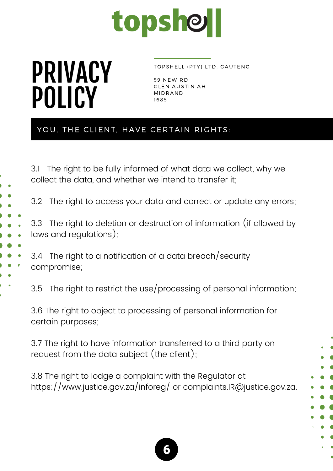

#### TOPSHELL (PTY) LTD. GAUTENG

59 NEW RD GLEN AUSTIN AH MIDR AND 1685

#### YOU, THE CLIENT, HAVE CERTAIN RIGHTS:

3.1 The right to be fully informed of what data we collect, why we collect the data, and whether we intend to transfer it;

3.2 The right to access your data and correct or update any errors;

3.3 The right to deletion or destruction of information (if allowed by laws and regulations);

3.4 The right to a notification of a data breach/security compromise;

3.5 The right to restrict the use/processing of personal information;

3.6 The right to object to processing of personal information for certain purposes;

3.7 The right to have information transferred to a third party on request from the data subject (the client);

3.8 The right to lodge a complaint with the Regulator at <https://www.justice.gov.za/inforeg/> or [complaints.IR@justice.gov.za](mailto:complaints.IR@justice.gov.za).

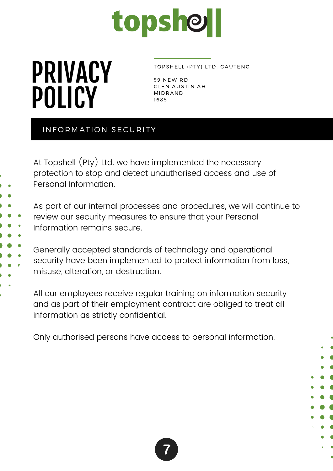

#### TOPSHELL (PTY) LTD. GAUTENG

59 NEW RD **GLEN AUSTIN AH** MIDR AND 1685

#### INFORMATION SECURITY

At Topshell (Pty) Ltd. we have implemented the necessary protection to stop and detect unauthorised access and use of Personal Information.

As part of our internal processes and procedures, we will continue to review our security measures to ensure that your Personal Information remains secure.

Generally accepted standards of technology and operational security have been implemented to protect information from loss, misuse, alteration, or destruction.

All our employees receive regular training on information security and as part of their employment contract are obliged to treat all information as strictly confidential.

Only authorised persons have access to personal information.



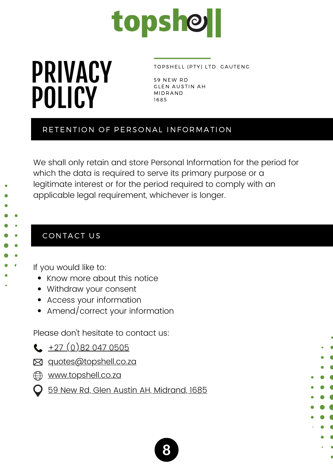

#### TOPSHELL (PTY) LTD. GAUTENG

59 NEW RD **GLEN AUSTIN AH** MIDR AND 1685

#### RETENTION OF PERSONAL INFORMATION

We shall only retain and store Personal Information for the period for which the data is required to serve its primary purpose or a legitimate interest or for the period required to comply with an applicable legal requirement, whichever is longer.

#### CONTACT US

If you would like to:

- Know more about this notice
- Withdraw your consent
- Access your information
- Amend/correct your information

Please don't hesitate to contact us:

- $\leftarrow$   $+27$  [\(0\)82](tel:+27820470505) 047 0505
- **E** [quotes@topshell.co.za](mailto:quotes@topshell.co.za)
- **ED [www.topshell.co.za](https://topshell.co.za/contact-topshell-gauteng/)** 
	- 59 New Rd, Glen Austin AH, [Midrand,](https://g.page/topshellcontainersgauteng?share) 1685